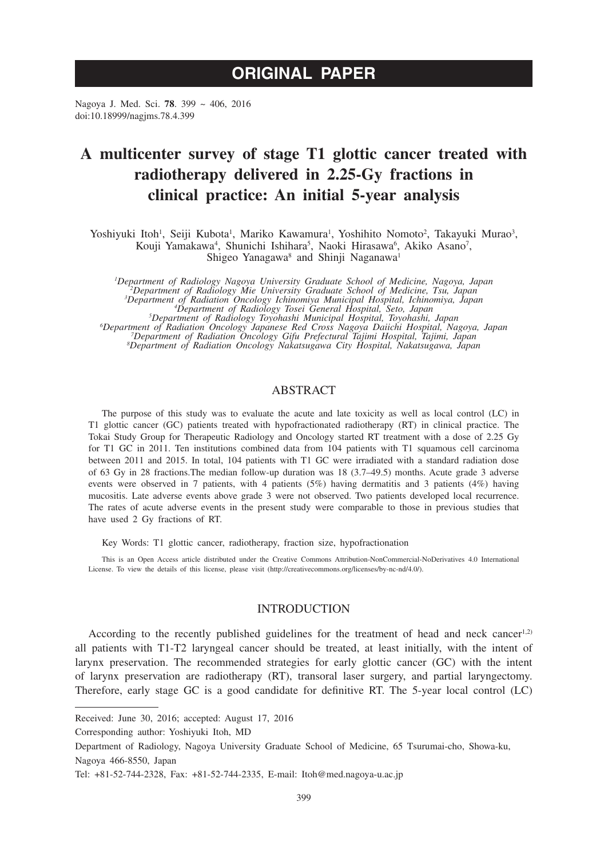# **ORIGINAL PAPER**

Nagoya J. Med. Sci. **78**. 399 ~ 406, 2016 doi:10.18999/nagjms.78.4.399

# **A multicenter survey of stage T1 glottic cancer treated with radiotherapy delivered in 2.25-Gy fractions in clinical practice: An initial 5-year analysis**

Yoshiyuki Itoh<sup>1</sup>, Seiji Kubota<sup>1</sup>, Mariko Kawamura<sup>1</sup>, Yoshihito Nomoto<sup>2</sup>, Takayuki Murao<sup>3</sup>, Kouji Yamakawa<sup>4</sup>, Shunichi Ishihara<sup>5</sup>, Naoki Hirasawa<sup>6</sup>, Akiko Asano<sup>7</sup>, Shigeo Yanagawa<sup>8</sup> and Shinji Naganawa<sup>1</sup>

*1 Department of Radiology Nagoya University Graduate School of Medicine, Nagoya, Japan <sup>2</sup> Department of Radiology Mie University Graduate School of Medicine, Tsu, Japan <sup>3</sup>* <sup>3</sup>Department of Radiation Oncology Ichinomiya Municipal Hospital, Ichinomiya, Japan<br><sup>4</sup>Department of Radiology Tosei General Hospital, Seto, Japan<br><sup>5</sup>Department of Radiation Oncology Japanese Red Cross Nagoya Daitichi Hos

### ABSTRACT

The purpose of this study was to evaluate the acute and late toxicity as well as local control (LC) in T1 glottic cancer (GC) patients treated with hypofractionated radiotherapy (RT) in clinical practice. The Tokai Study Group for Therapeutic Radiology and Oncology started RT treatment with a dose of 2.25 Gy for T1 GC in 2011. Ten institutions combined data from 104 patients with T1 squamous cell carcinoma between 2011 and 2015. In total, 104 patients with T1 GC were irradiated with a standard radiation dose of 63 Gy in 28 fractions.The median follow-up duration was 18 (3.7–49.5) months. Acute grade 3 adverse events were observed in 7 patients, with 4 patients (5%) having dermatitis and 3 patients (4%) having mucositis. Late adverse events above grade 3 were not observed. Two patients developed local recurrence. The rates of acute adverse events in the present study were comparable to those in previous studies that have used 2 Gy fractions of RT.

Key Words: T1 glottic cancer, radiotherapy, fraction size, hypofractionation

This is an Open Access article distributed under the Creative Commons Attribution-NonCommercial-NoDerivatives 4.0 International License. To view the details of this license, please visit (http://creativecommons.org/licenses/by-nc-nd/4.0/).

#### **INTRODUCTION**

According to the recently published guidelines for the treatment of head and neck cancer<sup>1,2)</sup> all patients with T1-T2 laryngeal cancer should be treated, at least initially, with the intent of larynx preservation. The recommended strategies for early glottic cancer (GC) with the intent of larynx preservation are radiotherapy (RT), transoral laser surgery, and partial laryngectomy. Therefore, early stage GC is a good candidate for definitive RT. The 5-year local control (LC)

Received: June 30, 2016; accepted: August 17, 2016

Corresponding author: Yoshiyuki Itoh, MD

Department of Radiology, Nagoya University Graduate School of Medicine, 65 Tsurumai-cho, Showa-ku, Nagoya 466-8550, Japan

Tel: +81-52-744-2328, Fax: +81-52-744-2335, E-mail: Itoh@med.nagoya-u.ac.jp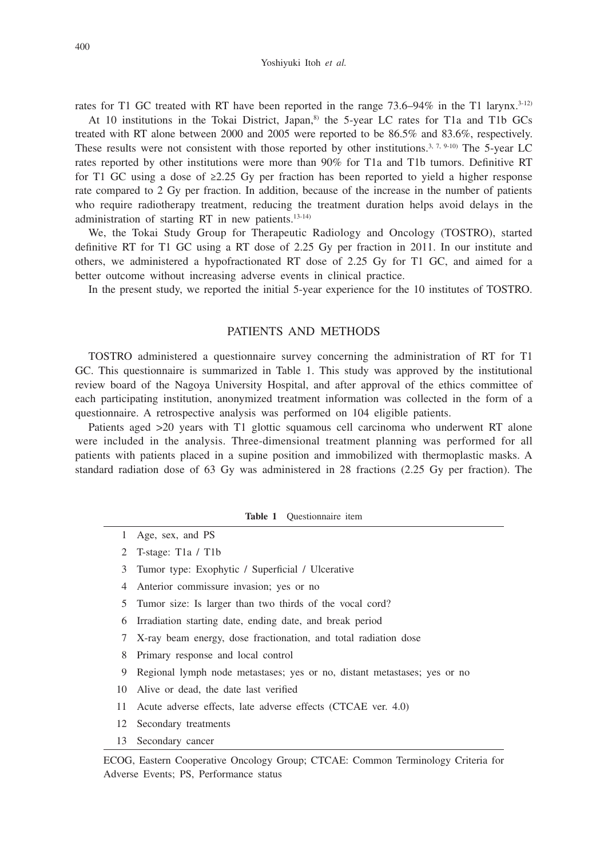rates for T1 GC treated with RT have been reported in the range  $73.6-94\%$  in the T1 larynx.<sup>3-12)</sup>

At 10 institutions in the Tokai District, Japan,<sup>8)</sup> the 5-year LC rates for T1a and T1b GCs treated with RT alone between 2000 and 2005 were reported to be 86.5% and 83.6%, respectively. These results were not consistent with those reported by other institutions.<sup>3, 7, 9-10)</sup> The 5-year LC rates reported by other institutions were more than 90% for T1a and T1b tumors. Definitive RT for T1 GC using a dose of  $\geq 2.25$  Gy per fraction has been reported to yield a higher response rate compared to 2 Gy per fraction. In addition, because of the increase in the number of patients who require radiotherapy treatment, reducing the treatment duration helps avoid delays in the administration of starting RT in new patients.13-14)

We, the Tokai Study Group for Therapeutic Radiology and Oncology (TOSTRO), started definitive RT for T1 GC using a RT dose of 2.25 Gy per fraction in 2011. In our institute and others, we administered a hypofractionated RT dose of 2.25 Gy for T1 GC, and aimed for a better outcome without increasing adverse events in clinical practice.

In the present study, we reported the initial 5-year experience for the 10 institutes of TOSTRO.

## PATIENTS AND METHODS

TOSTRO administered a questionnaire survey concerning the administration of RT for T1 GC. This questionnaire is summarized in Table 1. This study was approved by the institutional review board of the Nagoya University Hospital, and after approval of the ethics committee of each participating institution, anonymized treatment information was collected in the form of a questionnaire. A retrospective analysis was performed on 104 eligible patients.

Patients aged >20 years with T1 glottic squamous cell carcinoma who underwent RT alone were included in the analysis. Three-dimensional treatment planning was performed for all patients with patients placed in a supine position and immobilized with thermoplastic masks. A standard radiation dose of 63 Gy was administered in 28 fractions (2.25 Gy per fraction). The

**Table 1** Questionnaire item

- 1 Age, sex, and PS
- 2 T-stage: T1a / T1b
- 3 Tumor type: Exophytic / Superficial / Ulcerative
- 4 Anterior commissure invasion; yes or no
- 5 Tumor size: Is larger than two thirds of the vocal cord?
- 6 Irradiation starting date, ending date, and break period
- 7 X-ray beam energy, dose fractionation, and total radiation dose
- 8 Primary response and local control
- 9 Regional lymph node metastases; yes or no, distant metastases; yes or no
- 10 Alive or dead, the date last verified
- 11 Acute adverse effects, late adverse effects (CTCAE ver. 4.0)
- 12 Secondary treatments
- 13 Secondary cancer

ECOG, Eastern Cooperative Oncology Group; CTCAE: Common Terminology Criteria for Adverse Events; PS, Performance status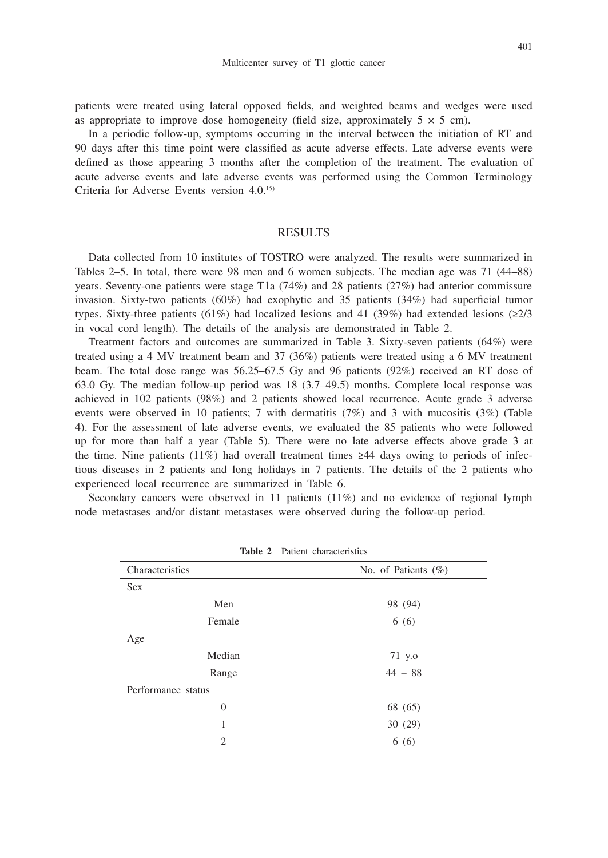patients were treated using lateral opposed fields, and weighted beams and wedges were used as appropriate to improve dose homogeneity (field size, approximately  $5 \times 5$  cm).

In a periodic follow-up, symptoms occurring in the interval between the initiation of RT and 90 days after this time point were classified as acute adverse effects. Late adverse events were defined as those appearing 3 months after the completion of the treatment. The evaluation of acute adverse events and late adverse events was performed using the Common Terminology Criteria for Adverse Events version 4.0.15)

## RESULTS

Data collected from 10 institutes of TOSTRO were analyzed. The results were summarized in Tables 2–5. In total, there were 98 men and 6 women subjects. The median age was 71 (44–88) years. Seventy-one patients were stage T1a (74%) and 28 patients (27%) had anterior commissure invasion. Sixty-two patients (60%) had exophytic and 35 patients (34%) had superficial tumor types. Sixty-three patients (61%) had localized lesions and 41 (39%) had extended lesions (≥2/3 in vocal cord length). The details of the analysis are demonstrated in Table 2.

Treatment factors and outcomes are summarized in Table 3. Sixty-seven patients (64%) were treated using a 4 MV treatment beam and 37 (36%) patients were treated using a 6 MV treatment beam. The total dose range was 56.25–67.5 Gy and 96 patients (92%) received an RT dose of 63.0 Gy. The median follow-up period was 18 (3.7–49.5) months. Complete local response was achieved in 102 patients (98%) and 2 patients showed local recurrence. Acute grade 3 adverse events were observed in 10 patients; 7 with dermatitis  $(7%)$  and 3 with mucositis  $(3%)$  (Table 4). For the assessment of late adverse events, we evaluated the 85 patients who were followed up for more than half a year (Table 5). There were no late adverse effects above grade 3 at the time. Nine patients (11%) had overall treatment times  $\geq 44$  days owing to periods of infectious diseases in 2 patients and long holidays in 7 patients. The details of the 2 patients who experienced local recurrence are summarized in Table 6.

Secondary cancers were observed in 11 patients (11%) and no evidence of regional lymph node metastases and/or distant metastases were observed during the follow-up period.

| Characteristics    | No. of Patients $(\%)$ |  |  |  |  |
|--------------------|------------------------|--|--|--|--|
| <b>Sex</b>         |                        |  |  |  |  |
| Men                | 98 (94)                |  |  |  |  |
| Female             | 6(6)                   |  |  |  |  |
| Age                |                        |  |  |  |  |
| Median             | 71 y.o                 |  |  |  |  |
| Range              | $44 - 88$              |  |  |  |  |
| Performance status |                        |  |  |  |  |
| $\boldsymbol{0}$   | 68 (65)                |  |  |  |  |
| 1                  | 30(29)                 |  |  |  |  |
| $\overline{c}$     | 6(6)                   |  |  |  |  |

**Table 2** Patient characteristics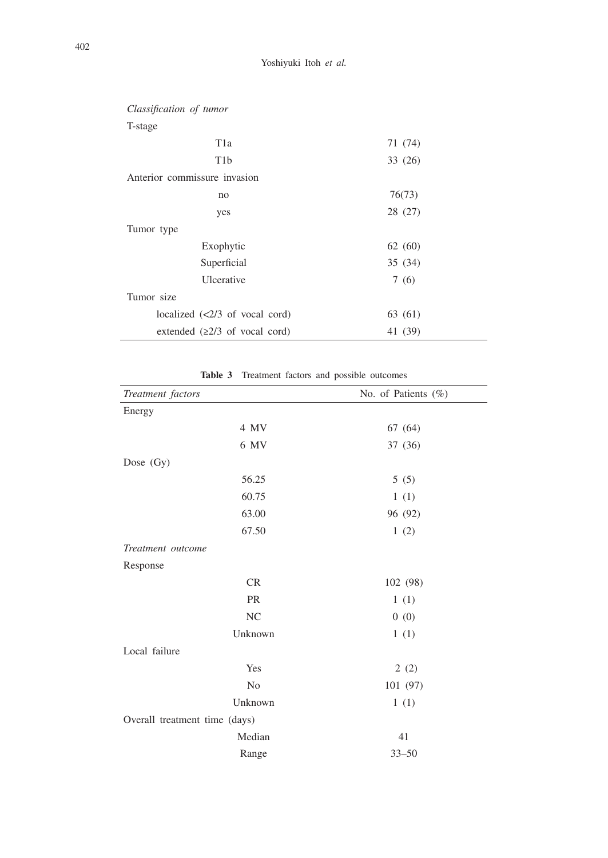| Anterior commissure invasion |  |  |  |  |  |  |  |
|------------------------------|--|--|--|--|--|--|--|
|                              |  |  |  |  |  |  |  |
|                              |  |  |  |  |  |  |  |
|                              |  |  |  |  |  |  |  |
|                              |  |  |  |  |  |  |  |
|                              |  |  |  |  |  |  |  |
|                              |  |  |  |  |  |  |  |
|                              |  |  |  |  |  |  |  |
|                              |  |  |  |  |  |  |  |
|                              |  |  |  |  |  |  |  |
|                              |  |  |  |  |  |  |  |

**Table 3** Treatment factors and possible outcomes

| Treatment factors             | No. of Patients $(\%)$ |
|-------------------------------|------------------------|
| Energy                        |                        |
| 4 MV                          | 67 (64)                |
| 6 MV                          | 37 (36)                |
| Dose (Gy)                     |                        |
| 56.25                         | 5(5)                   |
| 60.75                         | 1(1)                   |
| 63.00                         | 96 (92)                |
| 67.50                         | 1(2)                   |
| Treatment outcome             |                        |
| Response                      |                        |
| CR                            | 102 (98)               |
| <b>PR</b>                     | 1(1)                   |
| <b>NC</b>                     | 0(0)                   |
| Unknown                       | 1(1)                   |
| Local failure                 |                        |
| Yes                           | 2(2)                   |
| N <sub>0</sub>                | 101 (97)               |
| Unknown                       | 1(1)                   |
| Overall treatment time (days) |                        |
| Median                        | 41                     |
| Range                         | $33 - 50$              |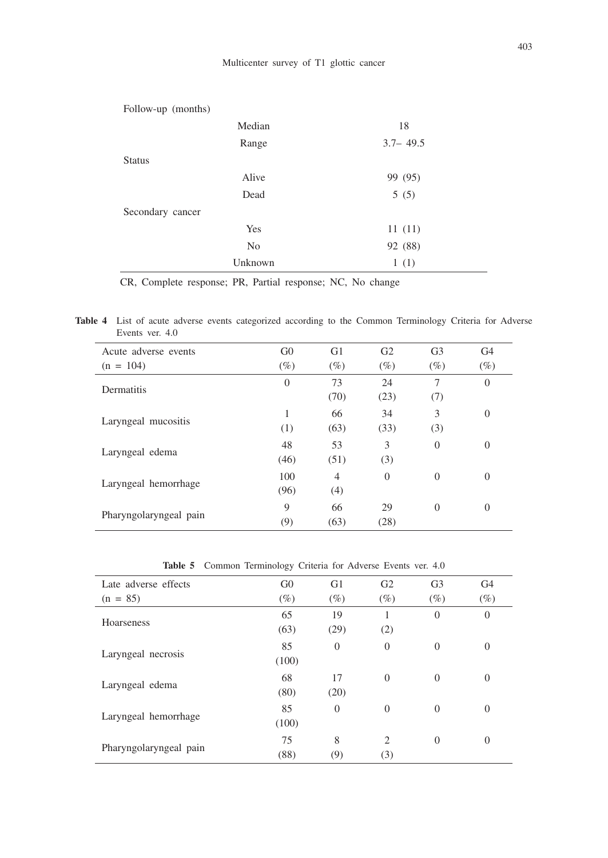| Follow-up (months) |                |              |  |  |  |  |  |
|--------------------|----------------|--------------|--|--|--|--|--|
|                    | Median         | 18           |  |  |  |  |  |
|                    | Range          | $3.7 - 49.5$ |  |  |  |  |  |
| <b>Status</b>      |                |              |  |  |  |  |  |
|                    | Alive          | 99 (95)      |  |  |  |  |  |
|                    | Dead           | 5(5)         |  |  |  |  |  |
| Secondary cancer   |                |              |  |  |  |  |  |
|                    | Yes            | 11(11)       |  |  |  |  |  |
|                    | N <sub>0</sub> | 92 (88)      |  |  |  |  |  |
|                    | Unknown        | 1(1)         |  |  |  |  |  |

CR, Complete response; PR, Partial response; NC, No change

**Table 4** List of acute adverse events categorized according to the Common Terminology Criteria for Adverse Events ver. 4.0

| Acute adverse events   | G <sub>0</sub> | G <sub>1</sub> | G <sub>2</sub> | G <sub>3</sub> | G <sub>4</sub> |
|------------------------|----------------|----------------|----------------|----------------|----------------|
| $(n = 104)$            | $(\%)$         | $(\%)$         | $(\%)$         | $(\%)$         | $(\%)$         |
| Dermatitis             | $\overline{0}$ | 73             | 24             | 7              | $\overline{0}$ |
|                        |                | (70)           | (23)           | (7)            |                |
| Laryngeal mucositis    | 1              | 66             | 34             | 3              | $\theta$       |
|                        | (1)            | (63)           | (33)           | (3)            |                |
|                        | 48             | 53             | 3              | $\Omega$       | $\theta$       |
| Laryngeal edema        | (46)           | (51)           | (3)            |                |                |
|                        | 100            | $\overline{4}$ | $\theta$       | $\Omega$       | $\Omega$       |
| Laryngeal hemorrhage   | (96)           | (4)            |                |                |                |
|                        | 9              | 66             | 29             | $\Omega$       | $\theta$       |
| Pharyngolaryngeal pain | (9)            | (63)           | (28)           |                |                |

**Table 5** Common Terminology Criteria for Adverse Events ver. 4.0

| Late adverse effects   | G <sub>0</sub> | G <sub>1</sub> | G <sub>2</sub>        | G <sub>3</sub> | G <sub>4</sub> |
|------------------------|----------------|----------------|-----------------------|----------------|----------------|
| $(n = 85)$             | $(\%)$         | $(\%)$         | $(\%)$                | $(\%)$         | $(\%)$         |
| <b>Hoarseness</b>      | 65<br>(63)     | 19<br>(29)     | 1<br>(2)              | $\Omega$       | $\theta$       |
| Laryngeal necrosis     | 85<br>(100)    | $\overline{0}$ | $\theta$              | $\Omega$       | $\theta$       |
| Laryngeal edema        | 68<br>(80)     | 17<br>(20)     | $\theta$              | $\theta$       | $\theta$       |
| Laryngeal hemorrhage   | 85<br>(100)    | $\Omega$       | $\Omega$              | $\theta$       | $\theta$       |
| Pharyngolaryngeal pain | 75<br>(88)     | 8<br>(9)       | $\overline{2}$<br>(3) | $\Omega$       | $\theta$       |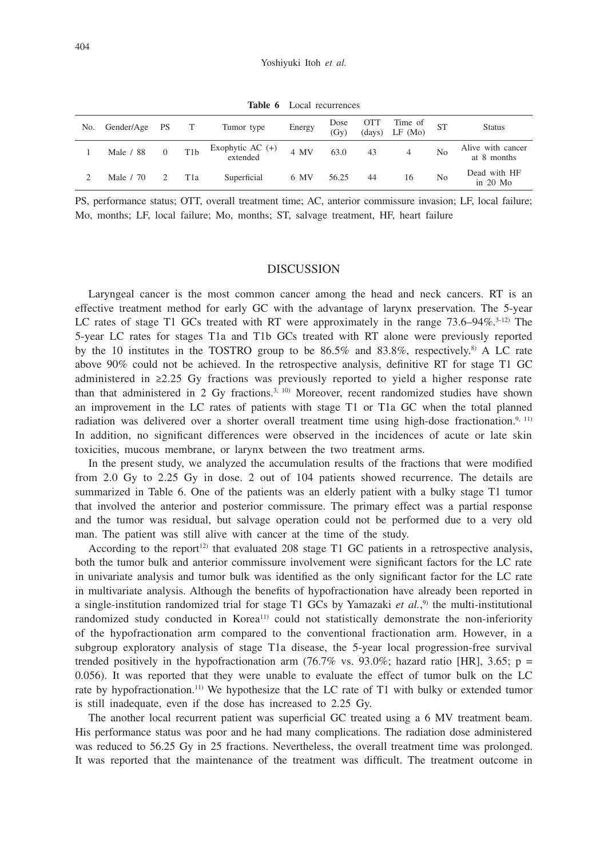**Table 6** Local recurrences

| No. | Gender/Age PS |          |                  | Tumor type                   | Energy | Dose<br>(Gv) | <b>OTT</b> | Time of<br>$(days)$ LF $(Mo)$ |                | <b>Status</b>                    |
|-----|---------------|----------|------------------|------------------------------|--------|--------------|------------|-------------------------------|----------------|----------------------------------|
|     | Male / 88     | $\Omega$ | T <sub>1</sub> b | Exophytic AC (+)<br>extended | 4 MV   | 63.0         | 43         | 4                             | N <sub>0</sub> | Alive with cancer<br>at 8 months |
|     | Male / 70     |          | T1a              | Superficial                  | 6 MV   | 56.25        | 44         | 16                            | N <sub>0</sub> | Dead with HF<br>in $20$ Mo       |

PS, performance status; OTT, overall treatment time; AC, anterior commissure invasion; LF, local failure; Mo, months; LF, local failure; Mo, months; ST, salvage treatment, HF, heart failure

### **DISCUSSION**

Laryngeal cancer is the most common cancer among the head and neck cancers. RT is an effective treatment method for early GC with the advantage of larynx preservation. The 5-year LC rates of stage T1 GCs treated with RT were approximately in the range  $73.6-94\%$ .<sup>3-12)</sup> The 5-year LC rates for stages T1a and T1b GCs treated with RT alone were previously reported by the 10 institutes in the TOSTRO group to be  $86.5\%$  and  $83.8\%$ , respectively.<sup>8)</sup> A LC rate above 90% could not be achieved. In the retrospective analysis, definitive RT for stage T1 GC administered in ≥2.25 Gy fractions was previously reported to yield a higher response rate than that administered in 2 Gy fractions.<sup>3, 10)</sup> Moreover, recent randomized studies have shown an improvement in the LC rates of patients with stage T1 or T1a GC when the total planned radiation was delivered over a shorter overall treatment time using high-dose fractionation.<sup>9, 11)</sup> In addition, no significant differences were observed in the incidences of acute or late skin toxicities, mucous membrane, or larynx between the two treatment arms.

In the present study, we analyzed the accumulation results of the fractions that were modified from 2.0 Gy to 2.25 Gy in dose. 2 out of 104 patients showed recurrence. The details are summarized in Table 6. One of the patients was an elderly patient with a bulky stage T1 tumor that involved the anterior and posterior commissure. The primary effect was a partial response and the tumor was residual, but salvage operation could not be performed due to a very old man. The patient was still alive with cancer at the time of the study.

According to the report<sup>12)</sup> that evaluated 208 stage T1 GC patients in a retrospective analysis, both the tumor bulk and anterior commissure involvement were significant factors for the LC rate in univariate analysis and tumor bulk was identified as the only significant factor for the LC rate in multivariate analysis. Although the benefits of hypofractionation have already been reported in a single-institution randomized trial for stage T1 GCs by Yamazaki *et al.*,<sup>9</sup> the multi-institutional randomized study conducted in Korea<sup>11)</sup> could not statistically demonstrate the non-inferiority of the hypofractionation arm compared to the conventional fractionation arm. However, in a subgroup exploratory analysis of stage T1a disease, the 5-year local progression-free survival trended positively in the hypofractionation arm  $(76.7\%$  vs.  $93.0\%$ ; hazard ratio [HR], 3.65; p = 0.056). It was reported that they were unable to evaluate the effect of tumor bulk on the LC rate by hypofractionation.11) We hypothesize that the LC rate of T1 with bulky or extended tumor is still inadequate, even if the dose has increased to 2.25 Gy.

The another local recurrent patient was superficial GC treated using a 6 MV treatment beam. His performance status was poor and he had many complications. The radiation dose administered was reduced to 56.25 Gy in 25 fractions. Nevertheless, the overall treatment time was prolonged. It was reported that the maintenance of the treatment was difficult. The treatment outcome in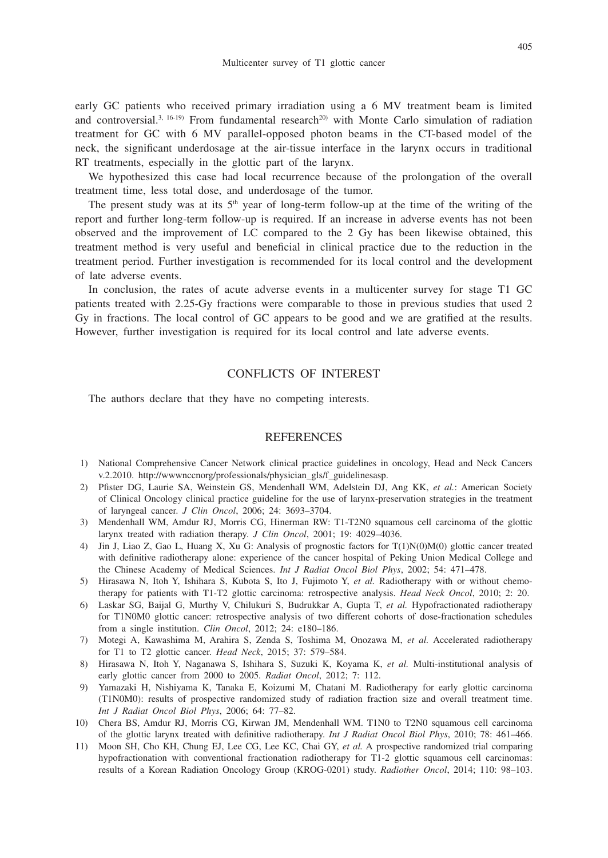early GC patients who received primary irradiation using a 6 MV treatment beam is limited and controversial.<sup>3, 16-19)</sup> From fundamental research<sup>20</sup> with Monte Carlo simulation of radiation treatment for GC with 6 MV parallel-opposed photon beams in the CT-based model of the neck, the significant underdosage at the air-tissue interface in the larynx occurs in traditional RT treatments, especially in the glottic part of the larynx.

We hypothesized this case had local recurrence because of the prolongation of the overall treatment time, less total dose, and underdosage of the tumor.

The present study was at its  $5<sup>th</sup>$  year of long-term follow-up at the time of the writing of the report and further long-term follow-up is required. If an increase in adverse events has not been observed and the improvement of LC compared to the 2 Gy has been likewise obtained, this treatment method is very useful and beneficial in clinical practice due to the reduction in the treatment period. Further investigation is recommended for its local control and the development of late adverse events.

In conclusion, the rates of acute adverse events in a multicenter survey for stage T1 GC patients treated with 2.25-Gy fractions were comparable to those in previous studies that used 2 Gy in fractions. The local control of GC appears to be good and we are gratified at the results. However, further investigation is required for its local control and late adverse events.

## CONFLICTS OF INTEREST

The authors declare that they have no competing interests.

### REFERENCES

- 1) National Comprehensive Cancer Network clinical practice guidelines in oncology, Head and Neck Cancers v.2.2010. http://wwwnccnorg/professionals/physician\_gls/f\_guidelinesasp.
- 2) Pfister DG, Laurie SA, Weinstein GS, Mendenhall WM, Adelstein DJ, Ang KK, *et al.*: American Society of Clinical Oncology clinical practice guideline for the use of larynx-preservation strategies in the treatment of laryngeal cancer. *J Clin Oncol*, 2006; 24: 3693–3704.
- 3) Mendenhall WM, Amdur RJ, Morris CG, Hinerman RW: T1-T2N0 squamous cell carcinoma of the glottic larynx treated with radiation therapy. *J Clin Oncol*, 2001; 19: 4029–4036.
- 4) Jin J, Liao Z, Gao L, Huang X, Xu G: Analysis of prognostic factors for T(1)N(0)M(0) glottic cancer treated with definitive radiotherapy alone: experience of the cancer hospital of Peking Union Medical College and the Chinese Academy of Medical Sciences. *Int J Radiat Oncol Biol Phys*, 2002; 54: 471–478.
- 5) Hirasawa N, Itoh Y, Ishihara S, Kubota S, Ito J, Fujimoto Y, *et al.* Radiotherapy with or without chemotherapy for patients with T1-T2 glottic carcinoma: retrospective analysis. *Head Neck Oncol*, 2010; 2: 20.
- 6) Laskar SG, Baijal G, Murthy V, Chilukuri S, Budrukkar A, Gupta T, *et al.* Hypofractionated radiotherapy for T1N0M0 glottic cancer: retrospective analysis of two different cohorts of dose-fractionation schedules from a single institution. *Clin Oncol*, 2012; 24: e180–186.
- 7) Motegi A, Kawashima M, Arahira S, Zenda S, Toshima M, Onozawa M, *et al.* Accelerated radiotherapy for T1 to T2 glottic cancer. *Head Neck*, 2015; 37: 579–584.
- 8) Hirasawa N, Itoh Y, Naganawa S, Ishihara S, Suzuki K, Koyama K, *et al.* Multi-institutional analysis of early glottic cancer from 2000 to 2005. *Radiat Oncol*, 2012; 7: 112.
- 9) Yamazaki H, Nishiyama K, Tanaka E, Koizumi M, Chatani M. Radiotherapy for early glottic carcinoma (T1N0M0): results of prospective randomized study of radiation fraction size and overall treatment time. *Int J Radiat Oncol Biol Phys*, 2006; 64: 77–82.
- 10) Chera BS, Amdur RJ, Morris CG, Kirwan JM, Mendenhall WM. T1N0 to T2N0 squamous cell carcinoma of the glottic larynx treated with definitive radiotherapy. *Int J Radiat Oncol Biol Phys*, 2010; 78: 461–466.
- 11) Moon SH, Cho KH, Chung EJ, Lee CG, Lee KC, Chai GY, *et al.* A prospective randomized trial comparing hypofractionation with conventional fractionation radiotherapy for T1-2 glottic squamous cell carcinomas: results of a Korean Radiation Oncology Group (KROG-0201) study. *Radiother Oncol*, 2014; 110: 98–103.